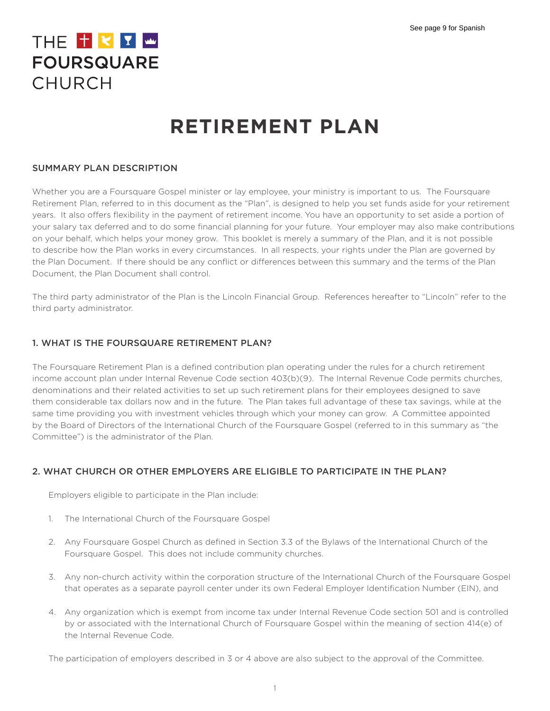# THE TKYW **FOURSQUARE** CHURCH

# **RETIREMENT PLAN**

## SUMMARY PLAN DESCRIPTION

Whether you are a Foursquare Gospel minister or lay employee, your ministry is important to us. The Foursquare Retirement Plan, referred to in this document as the "Plan", is designed to help you set funds aside for your retirement years. It also offers flexibility in the payment of retirement income. You have an opportunity to set aside a portion of your salary tax deferred and to do some financial planning for your future. Your employer may also make contributions on your behalf, which helps your money grow. This booklet is merely a summary of the Plan, and it is not possible to describe how the Plan works in every circumstances. In all respects, your rights under the Plan are governed by the Plan Document. If there should be any conflict or differences between this summary and the terms of the Plan Document, the Plan Document shall control.

The third party administrator of the Plan is the Lincoln Financial Group. References hereafter to "Lincoln" refer to the third party administrator.

## 1. WHAT IS THE FOURSQUARE RETIREMENT PLAN?

The Foursquare Retirement Plan is a defined contribution plan operating under the rules for a church retirement income account plan under Internal Revenue Code section 403(b)(9). The Internal Revenue Code permits churches, denominations and their related activities to set up such retirement plans for their employees designed to save them considerable tax dollars now and in the future. The Plan takes full advantage of these tax savings, while at the same time providing you with investment vehicles through which your money can grow. A Committee appointed by the Board of Directors of the International Church of the Foursquare Gospel (referred to in this summary as "the Committee") is the administrator of the Plan.

# 2. WHAT CHURCH OR OTHER EMPLOYERS ARE ELIGIBLE TO PARTICIPATE IN THE PLAN?

Employers eligible to participate in the Plan include:

- 1. The International Church of the Foursquare Gospel
- 2. Any Foursquare Gospel Church as defined in Section 3.3 of the Bylaws of the International Church of the Foursquare Gospel. This does not include community churches.
- 3. Any non-church activity within the corporation structure of the International Church of the Foursquare Gospel that operates as a separate payroll center under its own Federal Employer Identification Number (EIN), and
- 4. Any organization which is exempt from income tax under Internal Revenue Code section 501 and is controlled by or associated with the International Church of Foursquare Gospel within the meaning of section 414(e) of the Internal Revenue Code.

The participation of employers described in 3 or 4 above are also subject to the approval of the Committee.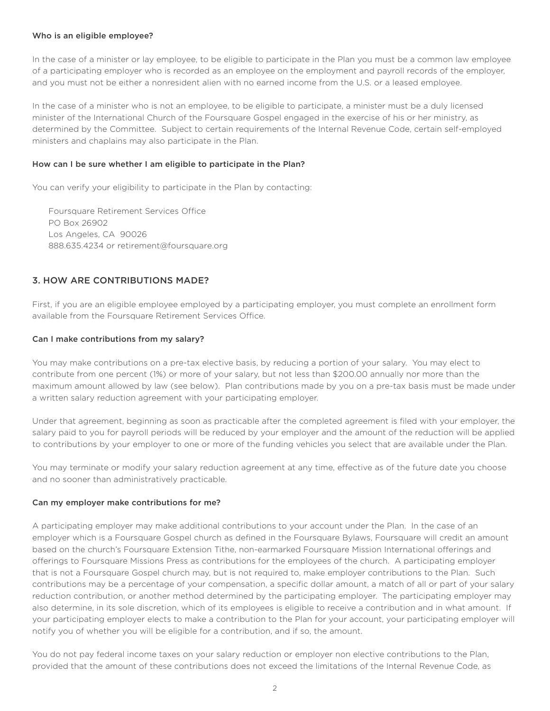### Who is an eligible employee?

In the case of a minister or lay employee, to be eligible to participate in the Plan you must be a common law employee of a participating employer who is recorded as an employee on the employment and payroll records of the employer, and you must not be either a nonresident alien with no earned income from the U.S. or a leased employee.

In the case of a minister who is not an employee, to be eligible to participate, a minister must be a duly licensed minister of the International Church of the Foursquare Gospel engaged in the exercise of his or her ministry, as determined by the Committee. Subject to certain requirements of the Internal Revenue Code, certain self-employed ministers and chaplains may also participate in the Plan.

#### How can I be sure whether I am eligible to participate in the Plan?

You can verify your eligibility to participate in the Plan by contacting:

Foursquare Retirement Services Office PO Box 26902 Los Angeles, CA 90026 888.635.4234 or retirement@foursquare.org

## 3. HOW ARE CONTRIBUTIONS MADE?

First, if you are an eligible employee employed by a participating employer, you must complete an enrollment form available from the Foursquare Retirement Services Office.

## Can I make contributions from my salary?

You may make contributions on a pre-tax elective basis, by reducing a portion of your salary. You may elect to contribute from one percent (1%) or more of your salary, but not less than \$200.00 annually nor more than the maximum amount allowed by law (see below). Plan contributions made by you on a pre-tax basis must be made under a written salary reduction agreement with your participating employer.

Under that agreement, beginning as soon as practicable after the completed agreement is filed with your employer, the salary paid to you for payroll periods will be reduced by your employer and the amount of the reduction will be applied to contributions by your employer to one or more of the funding vehicles you select that are available under the Plan.

You may terminate or modify your salary reduction agreement at any time, effective as of the future date you choose and no sooner than administratively practicable.

#### Can my employer make contributions for me?

A participating employer may make additional contributions to your account under the Plan. In the case of an employer which is a Foursquare Gospel church as defined in the Foursquare Bylaws, Foursquare will credit an amount based on the church's Foursquare Extension Tithe, non-earmarked Foursquare Mission International offerings and offerings to Foursquare Missions Press as contributions for the employees of the church. A participating employer that is not a Foursquare Gospel church may, but is not required to, make employer contributions to the Plan. Such contributions may be a percentage of your compensation, a specific dollar amount, a match of all or part of your salary reduction contribution, or another method determined by the participating employer. The participating employer may also determine, in its sole discretion, which of its employees is eligible to receive a contribution and in what amount. If your participating employer elects to make a contribution to the Plan for your account, your participating employer will notify you of whether you will be eligible for a contribution, and if so, the amount.

You do not pay federal income taxes on your salary reduction or employer non elective contributions to the Plan, provided that the amount of these contributions does not exceed the limitations of the Internal Revenue Code, as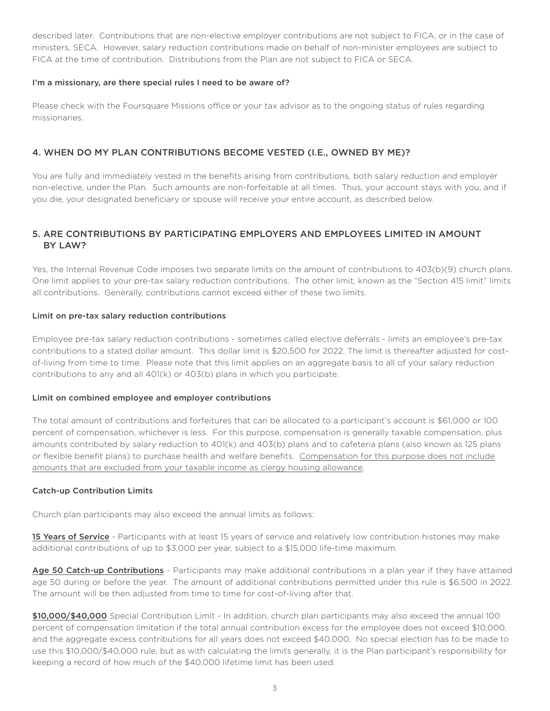described later. Contributions that are non-elective employer contributions are not subject to FICA, or in the case of ministers, SECA. However, salary reduction contributions made on behalf of non-minister employees are subject to FICA at the time of contribution. Distributions from the Plan are not subject to FICA or SECA.

## I'm a missionary, are there special rules I need to be aware of?

Please check with the Foursquare Missions office or your tax advisor as to the ongoing status of rules regarding missionaries.

## 4. WHEN DO MY PLAN CONTRIBUTIONS BECOME VESTED (I.E., OWNED BY ME)?

You are fully and immediately vested in the benefits arising from contributions, both salary reduction and employer non-elective, under the Plan. Such amounts are non-forfeitable at all times. Thus, your account stays with you, and if you die, your designated beneficiary or spouse will receive your entire account, as described below.

# 5. ARE CONTRIBUTIONS BY PARTICIPATING EMPLOYERS AND EMPLOYEES LIMITED IN AMOUNT BY LAW?

Yes, the Internal Revenue Code imposes two separate limits on the amount of contributions to 403(b)(9) church plans. One limit applies to your pre-tax salary reduction contributions. The other limit, known as the "Section 415 limit" limits all contributions. Generally, contributions cannot exceed either of these two limits.

## Limit on pre-tax salary reduction contributions

Employee pre-tax salary reduction contributions - sometimes called elective deferrals - limits an employee's pre-tax contributions to a stated dollar amount. This dollar limit is \$20,500 for 2022. The limit is thereafter adjusted for costof-living from time to time. Please note that this limit applies on an aggregate basis to all of your salary reduction contributions to any and all 401(k) or 403(b) plans in which you participate.

## Limit on combined employee and employer contributions

The total amount of contributions and forfeitures that can be allocated to a participant's account is \$61,000 or 100 percent of compensation, whichever is less. For this purpose, compensation is generally taxable compensation, plus amounts contributed by salary reduction to 401(k) and 403(b) plans and to cafeteria plans (also known as 125 plans or flexible benefit plans) to purchase health and welfare benefits. Compensation for this purpose does not include amounts that are excluded from your taxable income as clergy housing allowance.

## Catch-up Contribution Limits

Church plan participants may also exceed the annual limits as follows:

15 Years of Service - Participants with at least 15 years of service and relatively low contribution histories may make additional contributions of up to \$3,000 per year, subject to a \$15,000 life-time maximum.

Age 50 Catch-up Contributions - Participants may make additional contributions in a plan year if they have attained age 50 during or before the year. The amount of additional contributions permitted under this rule is \$6,500 in 2022. The amount will be then adjusted from time to time for cost-of-living after that.

\$10,000/\$40,000 Special Contribution Limit - In addition, church plan participants may also exceed the annual 100 percent of compensation limitation if the total annual contribution excess for the employee does not exceed \$10,000, and the aggregate excess contributions for all years does not exceed \$40,000. No special election has to be made to use this \$10,000/\$40,000 rule, but as with calculating the limits generally, it is the Plan participant's responsibility for keeping a record of how much of the \$40,000 lifetime limit has been used.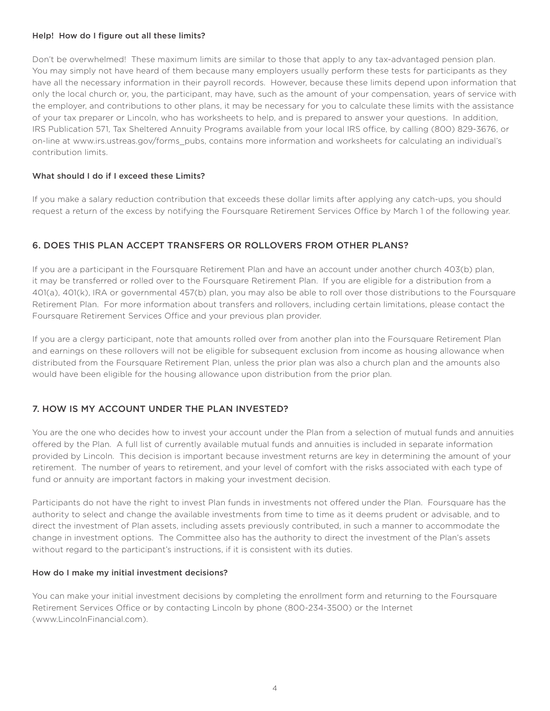## Help! How do I figure out all these limits?

Don't be overwhelmed! These maximum limits are similar to those that apply to any tax-advantaged pension plan. You may simply not have heard of them because many employers usually perform these tests for participants as they have all the necessary information in their payroll records. However, because these limits depend upon information that only the local church or, you, the participant, may have, such as the amount of your compensation, years of service with the employer, and contributions to other plans, it may be necessary for you to calculate these limits with the assistance of your tax preparer or Lincoln, who has worksheets to help, and is prepared to answer your questions. In addition, IRS Publication 571, Tax Sheltered Annuity Programs available from your local IRS office, by calling (800) 829-3676, or on-line at www.irs.ustreas.gov/forms\_pubs, contains more information and worksheets for calculating an individual's contribution limits.

## What should I do if I exceed these Limits?

If you make a salary reduction contribution that exceeds these dollar limits after applying any catch-ups, you should request a return of the excess by notifying the Foursquare Retirement Services Office by March 1 of the following year.

## 6. DOES THIS PLAN ACCEPT TRANSFERS OR ROLLOVERS FROM OTHER PLANS?

If you are a participant in the Foursquare Retirement Plan and have an account under another church 403(b) plan, it may be transferred or rolled over to the Foursquare Retirement Plan. If you are eligible for a distribution from a 401(a), 401(k), IRA or governmental 457(b) plan, you may also be able to roll over those distributions to the Foursquare Retirement Plan. For more information about transfers and rollovers, including certain limitations, please contact the Foursquare Retirement Services Office and your previous plan provider.

If you are a clergy participant, note that amounts rolled over from another plan into the Foursquare Retirement Plan and earnings on these rollovers will not be eligible for subsequent exclusion from income as housing allowance when distributed from the Foursquare Retirement Plan, unless the prior plan was also a church plan and the amounts also would have been eligible for the housing allowance upon distribution from the prior plan.

## 7. HOW IS MY ACCOUNT UNDER THE PLAN INVESTED?

You are the one who decides how to invest your account under the Plan from a selection of mutual funds and annuities offered by the Plan. A full list of currently available mutual funds and annuities is included in separate information provided by Lincoln. This decision is important because investment returns are key in determining the amount of your retirement. The number of years to retirement, and your level of comfort with the risks associated with each type of fund or annuity are important factors in making your investment decision.

Participants do not have the right to invest Plan funds in investments not offered under the Plan. Foursquare has the authority to select and change the available investments from time to time as it deems prudent or advisable, and to direct the investment of Plan assets, including assets previously contributed, in such a manner to accommodate the change in investment options. The Committee also has the authority to direct the investment of the Plan's assets without regard to the participant's instructions, if it is consistent with its duties.

## How do I make my initial investment decisions?

You can make your initial investment decisions by completing the enrollment form and returning to the Foursquare Retirement Services Office or by contacting Lincoln by phone (800-234-3500) or the Internet (www.LincolnFinancial.com).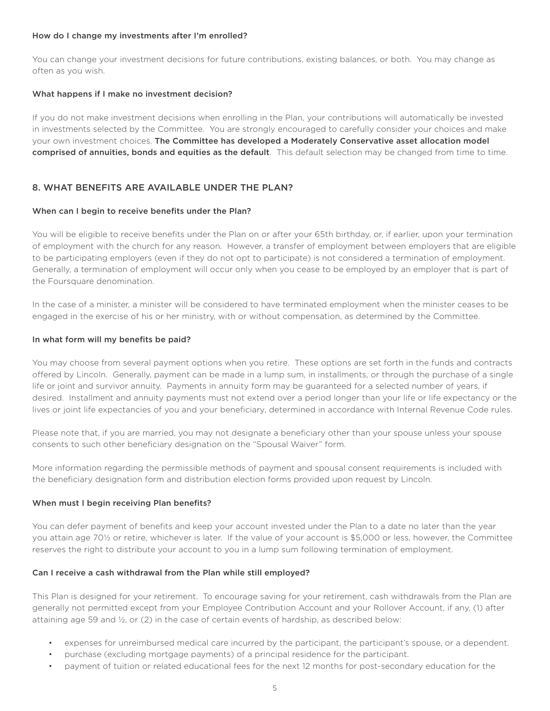#### How do I change my investments after I'm enrolled?

You can change your investment decisions for future contributions, existing balances, or both. You may change as often as you wish.

## What happens if I make no investment decision?

If you do not make investment decisions when enrolling in the Plan, your contributions will automatically be invested in investments selected by the Committee. You are strongly encouraged to carefully consider your choices and make your own investment choices. The Committee has developed a Moderately Conservative asset allocation model comprised of annuities, bonds and equities as the default. This default selection may be changed from time to time.

# 8. WHAT BENEFITS ARE AVAILABLE UNDER THE PLAN?

#### When can I begin to receive benefits under the Plan?

You will be eligible to receive benefits under the Plan on or after your 65th birthday, or, if earlier, upon your termination of employment with the church for any reason. However, a transfer of employment between employers that are eligible to be participating employers (even if they do not opt to participate) is not considered a termination of employment. Generally, a termination of employment will occur only when you cease to be employed by an employer that is part of the Foursquare denomination.

In the case of a minister, a minister will be considered to have terminated employment when the minister ceases to be engaged in the exercise of his or her ministry, with or without compensation, as determined by the Committee.

## In what form will my benefits be paid?

You may choose from several payment options when you retire. These options are set forth in the funds and contracts offered by Lincoln. Generally, payment can be made in a lump sum, in installments, or through the purchase of a single life or joint and survivor annuity. Payments in annuity form may be guaranteed for a selected number of years, if desired. Installment and annuity payments must not extend over a period longer than your life or life expectancy or the lives or joint life expectancies of you and your beneficiary, determined in accordance with Internal Revenue Code rules.

Please note that, if you are married, you may not designate a beneficiary other than your spouse unless your spouse consents to such other beneficiary designation on the "Spousal Waiver" form.

More information regarding the permissible methods of payment and spousal consent requirements is included with the beneficiary designation form and distribution election forms provided upon request by Lincoln.

## When must I begin receiving Plan benefits?

You can defer payment of benefits and keep your account invested under the Plan to a date no later than the year you attain age 70½ or retire, whichever is later. If the value of your account is \$5,000 or less, however, the Committee reserves the right to distribute your account to you in a lump sum following termination of employment.

## Can I receive a cash withdrawal from the Plan while still employed?

This Plan is designed for your retirement. To encourage saving for your retirement, cash withdrawals from the Plan are generally not permitted except from your Employee Contribution Account and your Rollover Account, if any, (1) after attaining age 59 and ½, or (2) in the case of certain events of hardship, as described below:

- expenses for unreimbursed medical care incurred by the participant, the participant's spouse, or a dependent.
- purchase (excluding mortgage payments) of a principal residence for the participant.
- payment of tuition or related educational fees for the next 12 months for post-secondary education for the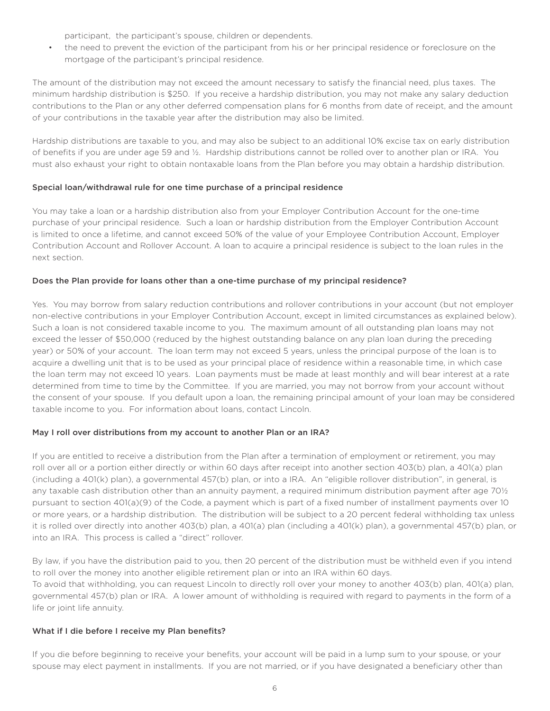participant, the participant's spouse, children or dependents.

• the need to prevent the eviction of the participant from his or her principal residence or foreclosure on the mortgage of the participant's principal residence.

The amount of the distribution may not exceed the amount necessary to satisfy the financial need, plus taxes. The minimum hardship distribution is \$250. If you receive a hardship distribution, you may not make any salary deduction contributions to the Plan or any other deferred compensation plans for 6 months from date of receipt, and the amount of your contributions in the taxable year after the distribution may also be limited.

Hardship distributions are taxable to you, and may also be subject to an additional 10% excise tax on early distribution of benefits if you are under age 59 and ½. Hardship distributions cannot be rolled over to another plan or IRA. You must also exhaust your right to obtain nontaxable loans from the Plan before you may obtain a hardship distribution.

## Special loan/withdrawal rule for one time purchase of a principal residence

You may take a loan or a hardship distribution also from your Employer Contribution Account for the one-time purchase of your principal residence. Such a loan or hardship distribution from the Employer Contribution Account is limited to once a lifetime, and cannot exceed 50% of the value of your Employee Contribution Account, Employer Contribution Account and Rollover Account. A loan to acquire a principal residence is subject to the loan rules in the next section.

## Does the Plan provide for loans other than a one-time purchase of my principal residence?

Yes. You may borrow from salary reduction contributions and rollover contributions in your account (but not employer non-elective contributions in your Employer Contribution Account, except in limited circumstances as explained below). Such a loan is not considered taxable income to you. The maximum amount of all outstanding plan loans may not exceed the lesser of \$50,000 (reduced by the highest outstanding balance on any plan loan during the preceding year) or 50% of your account. The loan term may not exceed 5 years, unless the principal purpose of the loan is to acquire a dwelling unit that is to be used as your principal place of residence within a reasonable time, in which case the loan term may not exceed 10 years. Loan payments must be made at least monthly and will bear interest at a rate determined from time to time by the Committee. If you are married, you may not borrow from your account without the consent of your spouse. If you default upon a loan, the remaining principal amount of your loan may be considered taxable income to you. For information about loans, contact Lincoln.

## May I roll over distributions from my account to another Plan or an IRA?

If you are entitled to receive a distribution from the Plan after a termination of employment or retirement, you may roll over all or a portion either directly or within 60 days after receipt into another section 403(b) plan, a 401(a) plan (including a 401(k) plan), a governmental 457(b) plan, or into a IRA. An "eligible rollover distribution", in general, is any taxable cash distribution other than an annuity payment, a required minimum distribution payment after age 70½ pursuant to section 401(a)(9) of the Code, a payment which is part of a fixed number of installment payments over 10 or more years, or a hardship distribution. The distribution will be subject to a 20 percent federal withholding tax unless it is rolled over directly into another 403(b) plan, a 401(a) plan (including a 401(k) plan), a governmental 457(b) plan, or into an IRA. This process is called a "direct" rollover.

By law, if you have the distribution paid to you, then 20 percent of the distribution must be withheld even if you intend to roll over the money into another eligible retirement plan or into an IRA within 60 days. To avoid that withholding, you can request Lincoln to directly roll over your money to another 403(b) plan, 401(a) plan, governmental 457(b) plan or IRA. A lower amount of withholding is required with regard to payments in the form of a life or joint life annuity.

## What if I die before I receive my Plan benefits?

If you die before beginning to receive your benefits, your account will be paid in a lump sum to your spouse, or your spouse may elect payment in installments. If you are not married, or if you have designated a beneficiary other than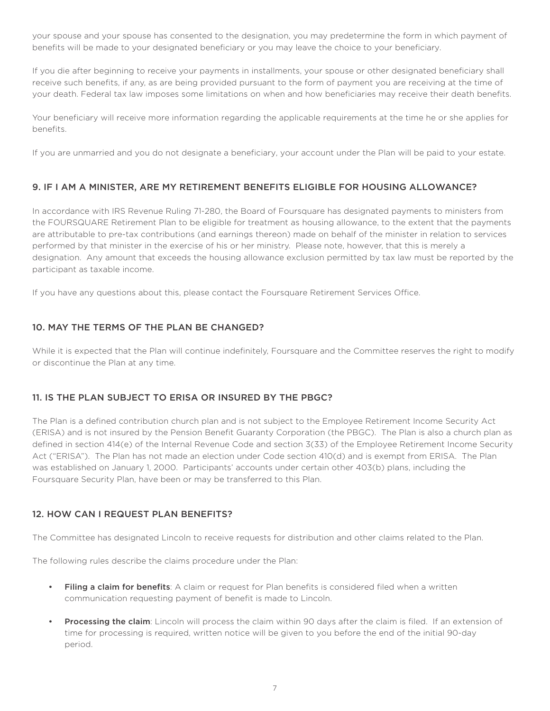your spouse and your spouse has consented to the designation, you may predetermine the form in which payment of benefits will be made to your designated beneficiary or you may leave the choice to your beneficiary.

If you die after beginning to receive your payments in installments, your spouse or other designated beneficiary shall receive such benefits, if any, as are being provided pursuant to the form of payment you are receiving at the time of your death. Federal tax law imposes some limitations on when and how beneficiaries may receive their death benefits.

Your beneficiary will receive more information regarding the applicable requirements at the time he or she applies for benefits.

If you are unmarried and you do not designate a beneficiary, your account under the Plan will be paid to your estate.

# 9. IF I AM A MINISTER, ARE MY RETIREMENT BENEFITS ELIGIBLE FOR HOUSING ALLOWANCE?

In accordance with IRS Revenue Ruling 71-280, the Board of Foursquare has designated payments to ministers from the FOURSQUARE Retirement Plan to be eligible for treatment as housing allowance, to the extent that the payments are attributable to pre-tax contributions (and earnings thereon) made on behalf of the minister in relation to services performed by that minister in the exercise of his or her ministry. Please note, however, that this is merely a designation. Any amount that exceeds the housing allowance exclusion permitted by tax law must be reported by the participant as taxable income.

If you have any questions about this, please contact the Foursquare Retirement Services Office.

# 10. MAY THE TERMS OF THE PLAN BE CHANGED?

While it is expected that the Plan will continue indefinitely, Foursquare and the Committee reserves the right to modify or discontinue the Plan at any time.

# 11. IS THE PLAN SUBJECT TO ERISA OR INSURED BY THE PBGC?

The Plan is a defined contribution church plan and is not subject to the Employee Retirement Income Security Act (ERISA) and is not insured by the Pension Benefit Guaranty Corporation (the PBGC). The Plan is also a church plan as defined in section 414(e) of the Internal Revenue Code and section 3(33) of the Employee Retirement Income Security Act ("ERISA"). The Plan has not made an election under Code section 410(d) and is exempt from ERISA. The Plan was established on January 1, 2000. Participants' accounts under certain other 403(b) plans, including the Foursquare Security Plan, have been or may be transferred to this Plan.

# 12. HOW CAN I REQUEST PLAN BENEFITS?

The Committee has designated Lincoln to receive requests for distribution and other claims related to the Plan.

The following rules describe the claims procedure under the Plan:

- Filing a claim for benefits: A claim or request for Plan benefits is considered filed when a written communication requesting payment of benefit is made to Lincoln.
- Processing the claim: Lincoln will process the claim within 90 days after the claim is filed. If an extension of time for processing is required, written notice will be given to you before the end of the initial 90-day period.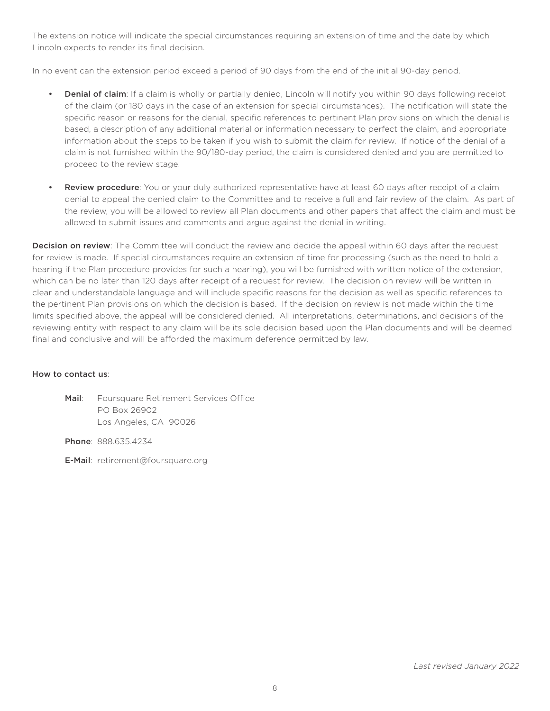The extension notice will indicate the special circumstances requiring an extension of time and the date by which Lincoln expects to render its final decision.

In no event can the extension period exceed a period of 90 days from the end of the initial 90-day period.

- **Denial of claim**: If a claim is wholly or partially denied, Lincoln will notify you within 90 days following receipt of the claim (or 180 days in the case of an extension for special circumstances). The notification will state the specific reason or reasons for the denial, specific references to pertinent Plan provisions on which the denial is based, a description of any additional material or information necessary to perfect the claim, and appropriate information about the steps to be taken if you wish to submit the claim for review. If notice of the denial of a claim is not furnished within the 90/180-day period, the claim is considered denied and you are permitted to proceed to the review stage.
- Review procedure: You or your duly authorized representative have at least 60 days after receipt of a claim denial to appeal the denied claim to the Committee and to receive a full and fair review of the claim. As part of the review, you will be allowed to review all Plan documents and other papers that affect the claim and must be allowed to submit issues and comments and argue against the denial in writing.

Decision on review: The Committee will conduct the review and decide the appeal within 60 days after the request for review is made. If special circumstances require an extension of time for processing (such as the need to hold a hearing if the Plan procedure provides for such a hearing), you will be furnished with written notice of the extension, which can be no later than 120 days after receipt of a request for review. The decision on review will be written in clear and understandable language and will include specific reasons for the decision as well as specific references to the pertinent Plan provisions on which the decision is based. If the decision on review is not made within the time limits specified above, the appeal will be considered denied. All interpretations, determinations, and decisions of the reviewing entity with respect to any claim will be its sole decision based upon the Plan documents and will be deemed final and conclusive and will be afforded the maximum deference permitted by law.

## How to contact us:

Mail: Foursquare Retirement Services Office PO Box 26902 Los Angeles, CA 90026

Phone: 888.635.4234

E-Mail: retirement@foursquare.org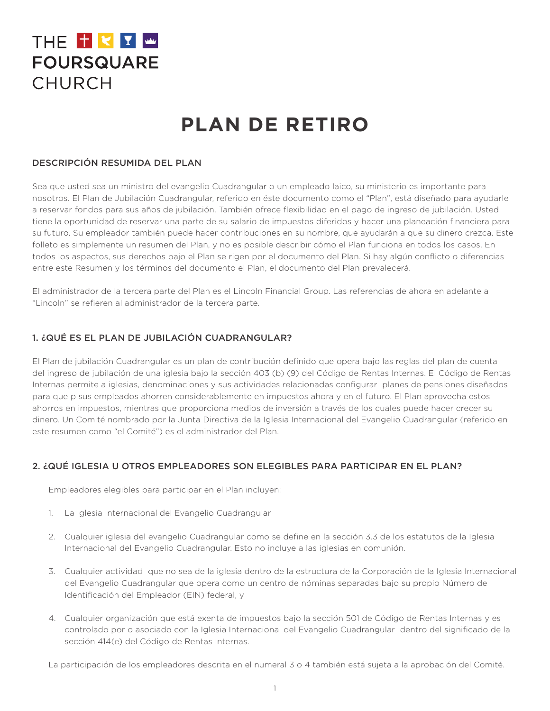# THE TKTW **FOURSQUARE** CHURCH

# **PLAN DE RETIRO**

# DESCRIPCIÓN RESUMIDA DEL PLAN

Sea que usted sea un ministro del evangelio Cuadrangular o un empleado laico, su ministerio es importante para nosotros. El Plan de Jubilación Cuadrangular, referido en éste documento como el "Plan", está diseñado para ayudarle a reservar fondos para sus años de jubilación. También ofrece flexibilidad en el pago de ingreso de jubilación. Usted tiene la oportunidad de reservar una parte de su salario de impuestos diferidos y hacer una planeación financiera para su futuro. Su empleador también puede hacer contribuciones en su nombre, que ayudarán a que su dinero crezca. Este folleto es simplemente un resumen del Plan, y no es posible describir cómo el Plan funciona en todos los casos. En todos los aspectos, sus derechos bajo el Plan se rigen por el documento del Plan. Si hay algún conflicto o diferencias entre este Resumen y los términos del documento el Plan, el documento del Plan prevalecerá.

El administrador de la tercera parte del Plan es el Lincoln Financial Group. Las referencias de ahora en adelante a "Lincoln" se refieren al administrador de la tercera parte.

# 1. ¿QUÉ ES EL PLAN DE JUBILACIÓN CUADRANGULAR?

El Plan de jubilación Cuadrangular es un plan de contribución definido que opera bajo las reglas del plan de cuenta del ingreso de jubilación de una iglesia bajo la sección 403 (b) (9) del Código de Rentas Internas. El Código de Rentas Internas permite a iglesias, denominaciones y sus actividades relacionadas configurar planes de pensiones diseñados para que p sus empleados ahorren considerablemente en impuestos ahora y en el futuro. El Plan aprovecha estos ahorros en impuestos, mientras que proporciona medios de inversión a través de los cuales puede hacer crecer su dinero. Un Comité nombrado por la Junta Directiva de la Iglesia Internacional del Evangelio Cuadrangular (referido en este resumen como "el Comité") es el administrador del Plan.

# 2. ¿QUÉ IGLESIA U OTROS EMPLEADORES SON ELEGIBLES PARA PARTICIPAR EN EL PLAN?

Empleadores elegibles para participar en el Plan incluyen:

- 1. La Iglesia Internacional del Evangelio Cuadrangular
- 2. Cualquier iglesia del evangelio Cuadrangular como se define en la sección 3.3 de los estatutos de la Iglesia Internacional del Evangelio Cuadrangular. Esto no incluye a las iglesias en comunión.
- 3. Cualquier actividad que no sea de la iglesia dentro de la estructura de la Corporación de la Iglesia Internacional del Evangelio Cuadrangular que opera como un centro de nóminas separadas bajo su propio Número de Identificación del Empleador (EIN) federal, y
- 4. Cualquier organización que está exenta de impuestos bajo la sección 501 de Código de Rentas Internas y es controlado por o asociado con la Iglesia Internacional del Evangelio Cuadrangular dentro del significado de la sección 414(e) del Código de Rentas Internas.

La participación de los empleadores descrita en el numeral 3 o 4 también está sujeta a la aprobación del Comité.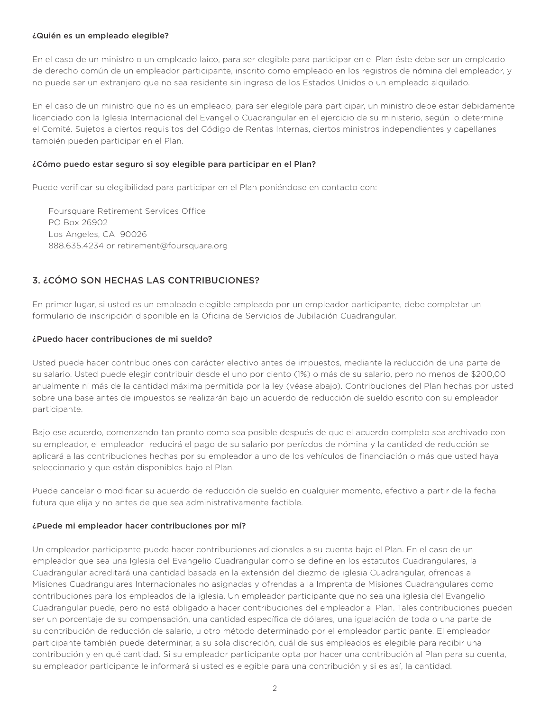#### ¿Quién es un empleado elegible?

En el caso de un ministro o un empleado laico, para ser elegible para participar en el Plan éste debe ser un empleado de derecho común de un empleador participante, inscrito como empleado en los registros de nómina del empleador, y no puede ser un extranjero que no sea residente sin ingreso de los Estados Unidos o un empleado alquilado.

En el caso de un ministro que no es un empleado, para ser elegible para participar, un ministro debe estar debidamente licenciado con la Iglesia Internacional del Evangelio Cuadrangular en el ejercicio de su ministerio, según lo determine el Comité. Sujetos a ciertos requisitos del Código de Rentas Internas, ciertos ministros independientes y capellanes también pueden participar en el Plan.

#### ¿Cómo puedo estar seguro si soy elegible para participar en el Plan?

Puede verificar su elegibilidad para participar en el Plan poniéndose en contacto con:

Foursquare Retirement Services Office PO Box 26902 Los Angeles, CA 90026 888.635.4234 or retirement@foursquare.org

## 3. ¿CÓMO SON HECHAS LAS CONTRIBUCIONES?

En primer lugar, si usted es un empleado elegible empleado por un empleador participante, debe completar un formulario de inscripción disponible en la Oficina de Servicios de Jubilación Cuadrangular.

#### ¿Puedo hacer contribuciones de mi sueldo?

Usted puede hacer contribuciones con carácter electivo antes de impuestos, mediante la reducción de una parte de su salario. Usted puede elegir contribuir desde el uno por ciento (1%) o más de su salario, pero no menos de \$200,00 anualmente ni más de la cantidad máxima permitida por la ley (véase abajo). Contribuciones del Plan hechas por usted sobre una base antes de impuestos se realizarán bajo un acuerdo de reducción de sueldo escrito con su empleador participante.

Bajo ese acuerdo, comenzando tan pronto como sea posible después de que el acuerdo completo sea archivado con su empleador, el empleador reducirá el pago de su salario por períodos de nómina y la cantidad de reducción se aplicará a las contribuciones hechas por su empleador a uno de los vehículos de financiación o más que usted haya seleccionado y que están disponibles bajo el Plan.

Puede cancelar o modificar su acuerdo de reducción de sueldo en cualquier momento, efectivo a partir de la fecha futura que elija y no antes de que sea administrativamente factible.

#### ¿Puede mi empleador hacer contribuciones por mí?

Un empleador participante puede hacer contribuciones adicionales a su cuenta bajo el Plan. En el caso de un empleador que sea una Iglesia del Evangelio Cuadrangular como se define en los estatutos Cuadrangulares, la Cuadrangular acreditará una cantidad basada en la extensión del diezmo de iglesia Cuadrangular, ofrendas a Misiones Cuadrangulares Internacionales no asignadas y ofrendas a la Imprenta de Misiones Cuadrangulares como contribuciones para los empleados de la iglesia. Un empleador participante que no sea una iglesia del Evangelio Cuadrangular puede, pero no está obligado a hacer contribuciones del empleador al Plan. Tales contribuciones pueden ser un porcentaje de su compensación, una cantidad específica de dólares, una igualación de toda o una parte de su contribución de reducción de salario, u otro método determinado por el empleador participante. El empleador participante también puede determinar, a su sola discreción, cuál de sus empleados es elegible para recibir una contribución y en qué cantidad. Si su empleador participante opta por hacer una contribución al Plan para su cuenta, su empleador participante le informará si usted es elegible para una contribución y si es así, la cantidad.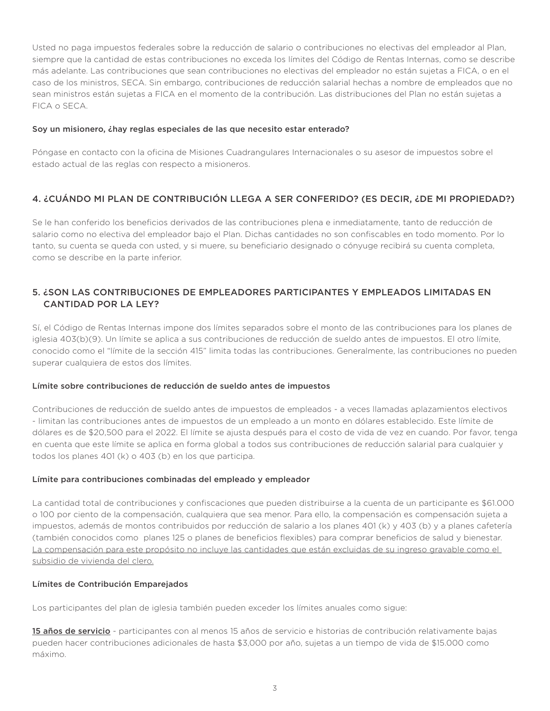Usted no paga impuestos federales sobre la reducción de salario o contribuciones no electivas del empleador al Plan, siempre que la cantidad de estas contribuciones no exceda los límites del Código de Rentas Internas, como se describe más adelante. Las contribuciones que sean contribuciones no electivas del empleador no están sujetas a FICA, o en el caso de los ministros, SECA. Sin embargo, contribuciones de reducción salarial hechas a nombre de empleados que no sean ministros están sujetas a FICA en el momento de la contribución. Las distribuciones del Plan no están sujetas a FICA o SECA.

### Soy un misionero, ¿hay reglas especiales de las que necesito estar enterado?

Póngase en contacto con la oficina de Misiones Cuadrangulares Internacionales o su asesor de impuestos sobre el estado actual de las reglas con respecto a misioneros.

## 4. ¿CUÁNDO MI PLAN DE CONTRIBUCIÓN LLEGA A SER CONFERIDO? (ES DECIR, ¿DE MI PROPIEDAD?)

Se le han conferido los beneficios derivados de las contribuciones plena e inmediatamente, tanto de reducción de salario como no electiva del empleador bajo el Plan. Dichas cantidades no son confiscables en todo momento. Por lo tanto, su cuenta se queda con usted, y si muere, su beneficiario designado o cónyuge recibirá su cuenta completa, como se describe en la parte inferior.

## 5. ¿SON LAS CONTRIBUCIONES DE EMPLEADORES PARTICIPANTES Y EMPLEADOS LIMITADAS EN CANTIDAD POR LA LEY?

Sí, el Código de Rentas Internas impone dos límites separados sobre el monto de las contribuciones para los planes de iglesia 403(b)(9). Un límite se aplica a sus contribuciones de reducción de sueldo antes de impuestos. El otro límite, conocido como el "límite de la sección 415" limita todas las contribuciones. Generalmente, las contribuciones no pueden superar cualquiera de estos dos límites.

## Límite sobre contribuciones de reducción de sueldo antes de impuestos

Contribuciones de reducción de sueldo antes de impuestos de empleados - a veces llamadas aplazamientos electivos - limitan las contribuciones antes de impuestos de un empleado a un monto en dólares establecido. Este límite de dólares es de \$20,500 para el 2022. El límite se ajusta después para el costo de vida de vez en cuando. Por favor, tenga en cuenta que este límite se aplica en forma global a todos sus contribuciones de reducción salarial para cualquier y todos los planes 401 (k) o 403 (b) en los que participa.

## Límite para contribuciones combinadas del empleado y empleador

La cantidad total de contribuciones y confiscaciones que pueden distribuirse a la cuenta de un participante es \$61.000 o 100 por ciento de la compensación, cualquiera que sea menor. Para ello, la compensación es compensación sujeta a impuestos, además de montos contribuidos por reducción de salario a los planes 401 (k) y 403 (b) y a planes cafetería (también conocidos como planes 125 o planes de beneficios flexibles) para comprar beneficios de salud y bienestar. La compensación para este propósito no incluye las cantidades que están excluidas de su ingreso gravable como el subsidio de vivienda del clero.

#### Límites de Contribución Emparejados

Los participantes del plan de iglesia también pueden exceder los límites anuales como sigue:

15 años de servicio - participantes con al menos 15 años de servicio e historias de contribución relativamente bajas pueden hacer contribuciones adicionales de hasta \$3,000 por año, sujetas a un tiempo de vida de \$15.000 como máximo.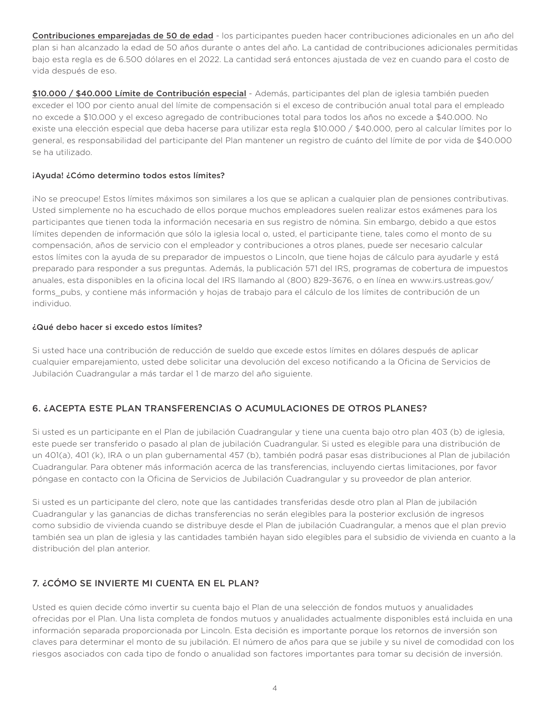Contribuciones emparejadas de 50 de edad - los participantes pueden hacer contribuciones adicionales en un año del plan si han alcanzado la edad de 50 años durante o antes del año. La cantidad de contribuciones adicionales permitidas bajo esta regla es de 6.500 dólares en el 2022. La cantidad será entonces ajustada de vez en cuando para el costo de vida después de eso.

\$10.000 / \$40.000 Límite de Contribución especial - Además, participantes del plan de iglesia también pueden exceder el 100 por ciento anual del límite de compensación si el exceso de contribución anual total para el empleado no excede a \$10.000 y el exceso agregado de contribuciones total para todos los años no excede a \$40.000. No existe una elección especial que deba hacerse para utilizar esta regla \$10.000 / \$40.000, pero al calcular límites por lo general, es responsabilidad del participante del Plan mantener un registro de cuánto del límite de por vida de \$40.000 se ha utilizado.

## ¡Ayuda! ¿Cómo determino todos estos límites?

¡No se preocupe! Estos límites máximos son similares a los que se aplican a cualquier plan de pensiones contributivas. Usted simplemente no ha escuchado de ellos porque muchos empleadores suelen realizar estos exámenes para los participantes que tienen toda la información necesaria en sus registro de nómina. Sin embargo, debido a que estos límites dependen de información que sólo la iglesia local o, usted, el participante tiene, tales como el monto de su compensación, años de servicio con el empleador y contribuciones a otros planes, puede ser necesario calcular estos límites con la ayuda de su preparador de impuestos o Lincoln, que tiene hojas de cálculo para ayudarle y está preparado para responder a sus preguntas. Además, la publicación 571 del IRS, programas de cobertura de impuestos anuales, esta disponibles en la oficina local del IRS llamando al (800) 829-3676, o en línea en www.irs.ustreas.gov/ forms\_pubs, y contiene más información y hojas de trabajo para el cálculo de los límites de contribución de un individuo.

## ¿Qué debo hacer si excedo estos límites?

Si usted hace una contribución de reducción de sueldo que excede estos límites en dólares después de aplicar cualquier emparejamiento, usted debe solicitar una devolución del exceso notificando a la Oficina de Servicios de Jubilación Cuadrangular a más tardar el 1 de marzo del año siguiente.

# 6. ¿ACEPTA ESTE PLAN TRANSFERENCIAS O ACUMULACIONES DE OTROS PLANES?

Si usted es un participante en el Plan de jubilación Cuadrangular y tiene una cuenta bajo otro plan 403 (b) de iglesia, este puede ser transferido o pasado al plan de jubilación Cuadrangular. Si usted es elegible para una distribución de un 401(a), 401 (k), IRA o un plan gubernamental 457 (b), también podrá pasar esas distribuciones al Plan de jubilación Cuadrangular. Para obtener más información acerca de las transferencias, incluyendo ciertas limitaciones, por favor póngase en contacto con la Oficina de Servicios de Jubilación Cuadrangular y su proveedor de plan anterior.

Si usted es un participante del clero, note que las cantidades transferidas desde otro plan al Plan de jubilación Cuadrangular y las ganancias de dichas transferencias no serán elegibles para la posterior exclusión de ingresos como subsidio de vivienda cuando se distribuye desde el Plan de jubilación Cuadrangular, a menos que el plan previo también sea un plan de iglesia y las cantidades también hayan sido elegibles para el subsidio de vivienda en cuanto a la distribución del plan anterior.

# 7. ¿CÓMO SE INVIERTE MI CUENTA EN EL PLAN?

Usted es quien decide cómo invertir su cuenta bajo el Plan de una selección de fondos mutuos y anualidades ofrecidas por el Plan. Una lista completa de fondos mutuos y anualidades actualmente disponibles está incluida en una información separada proporcionada por Lincoln. Esta decisión es importante porque los retornos de inversión son claves para determinar el monto de su jubilación. El número de años para que se jubile y su nivel de comodidad con los riesgos asociados con cada tipo de fondo o anualidad son factores importantes para tomar su decisión de inversión.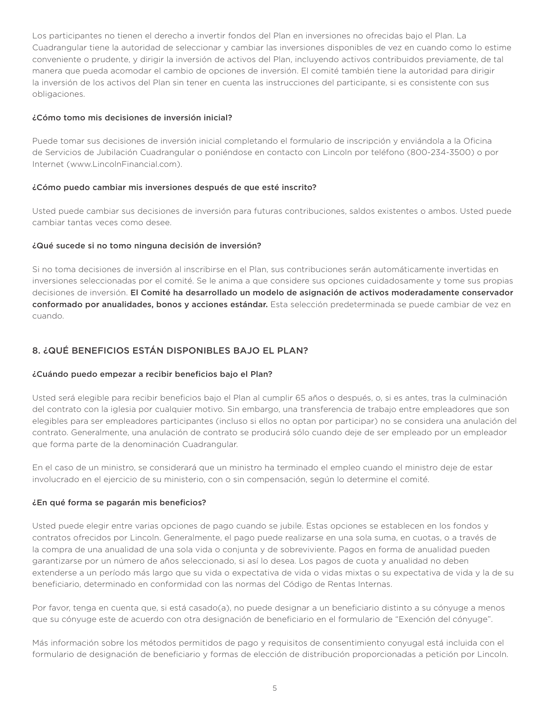Los participantes no tienen el derecho a invertir fondos del Plan en inversiones no ofrecidas bajo el Plan. La Cuadrangular tiene la autoridad de seleccionar y cambiar las inversiones disponibles de vez en cuando como lo estime conveniente o prudente, y dirigir la inversión de activos del Plan, incluyendo activos contribuidos previamente, de tal manera que pueda acomodar el cambio de opciones de inversión. El comité también tiene la autoridad para dirigir la inversión de los activos del Plan sin tener en cuenta las instrucciones del participante, si es consistente con sus obligaciones.

#### ¿Cómo tomo mis decisiones de inversión inicial?

Puede tomar sus decisiones de inversión inicial completando el formulario de inscripción y enviándola a la Oficina de Servicios de Jubilación Cuadrangular o poniéndose en contacto con Lincoln por teléfono (800-234-3500) o por Internet (www.LincolnFinancial.com).

## ¿Cómo puedo cambiar mis inversiones después de que esté inscrito?

Usted puede cambiar sus decisiones de inversión para futuras contribuciones, saldos existentes o ambos. Usted puede cambiar tantas veces como desee.

#### ¿Qué sucede si no tomo ninguna decisión de inversión?

Si no toma decisiones de inversión al inscribirse en el Plan, sus contribuciones serán automáticamente invertidas en inversiones seleccionadas por el comité. Se le anima a que considere sus opciones cuidadosamente y tome sus propias decisiones de inversión. El Comité ha desarrollado un modelo de asignación de activos moderadamente conservador conformado por anualidades, bonos y acciones estándar. Esta selección predeterminada se puede cambiar de vez en cuando.

## 8. ¿QUÉ BENEFICIOS ESTÁN DISPONIBLES BAJO EL PLAN?

## ¿Cuándo puedo empezar a recibir beneficios bajo el Plan?

Usted será elegible para recibir beneficios bajo el Plan al cumplir 65 años o después, o, si es antes, tras la culminación del contrato con la iglesia por cualquier motivo. Sin embargo, una transferencia de trabajo entre empleadores que son elegibles para ser empleadores participantes (incluso si ellos no optan por participar) no se considera una anulación del contrato. Generalmente, una anulación de contrato se producirá sólo cuando deje de ser empleado por un empleador que forma parte de la denominación Cuadrangular.

En el caso de un ministro, se considerará que un ministro ha terminado el empleo cuando el ministro deje de estar involucrado en el ejercicio de su ministerio, con o sin compensación, según lo determine el comité.

#### ¿En qué forma se pagarán mis beneficios?

Usted puede elegir entre varias opciones de pago cuando se jubile. Estas opciones se establecen en los fondos y contratos ofrecidos por Lincoln. Generalmente, el pago puede realizarse en una sola suma, en cuotas, o a través de la compra de una anualidad de una sola vida o conjunta y de sobreviviente. Pagos en forma de anualidad pueden garantizarse por un número de años seleccionado, si así lo desea. Los pagos de cuota y anualidad no deben extenderse a un período más largo que su vida o expectativa de vida o vidas mixtas o su expectativa de vida y la de su beneficiario, determinado en conformidad con las normas del Código de Rentas Internas.

Por favor, tenga en cuenta que, si está casado(a), no puede designar a un beneficiario distinto a su cónyuge a menos que su cónyuge este de acuerdo con otra designación de beneficiario en el formulario de "Exención del cónyuge".

Más información sobre los métodos permitidos de pago y requisitos de consentimiento conyugal está incluida con el formulario de designación de beneficiario y formas de elección de distribución proporcionadas a petición por Lincoln.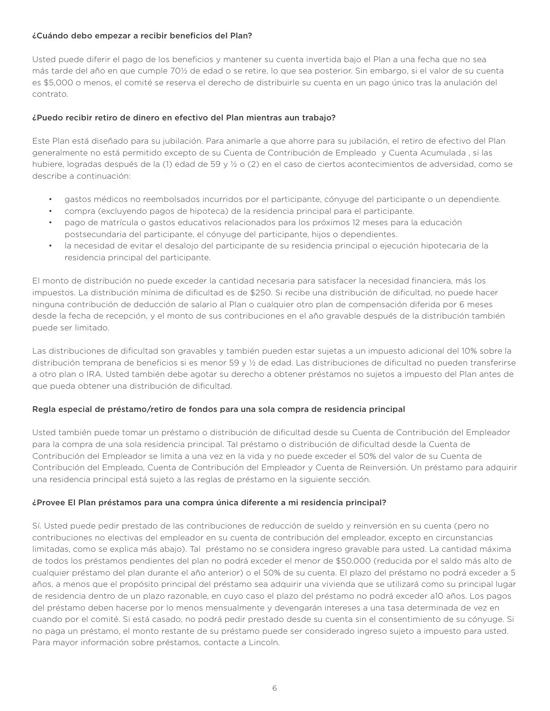### ¿Cuándo debo empezar a recibir beneficios del Plan?

Usted puede diferir el pago de los beneficios y mantener su cuenta invertida bajo el Plan a una fecha que no sea más tarde del año en que cumple 70½ de edad o se retire, lo que sea posterior. Sin embargo, si el valor de su cuenta es \$5,000 o menos, el comité se reserva el derecho de distribuirle su cuenta en un pago único tras la anulación del contrato.

## ¿Puedo recibir retiro de dinero en efectivo del Plan mientras aun trabajo?

Este Plan está diseñado para su jubilación. Para animarle a que ahorre para su jubilación, el retiro de efectivo del Plan generalmente no está permitido excepto de su Cuenta de Contribución de Empleado y Cuenta Acumulada , si las hubiere, logradas después de la (1) edad de 59 y ½ o (2) en el caso de ciertos acontecimientos de adversidad, como se describe a continuación:

- gastos médicos no reembolsados incurridos por el participante, cónyuge del participante o un dependiente.
- compra (excluyendo pagos de hipoteca) de la residencia principal para el participante.
- pago de matrícula o gastos educativos relacionados para los próximos 12 meses para la educación postsecundaria del participante, el cónyuge del participante, hijos o dependientes.
- la necesidad de evitar el desalojo del participante de su residencia principal o ejecución hipotecaria de la residencia principal del participante.

El monto de distribución no puede exceder la cantidad necesaria para satisfacer la necesidad financiera, más los impuestos. La distribución mínima de dificultad es de \$250. Si recibe una distribución de dificultad, no puede hacer ninguna contribución de deducción de salario al Plan o cualquier otro plan de compensación diferida por 6 meses desde la fecha de recepción, y el monto de sus contribuciones en el año gravable después de la distribución también puede ser limitado.

Las distribuciones de dificultad son gravables y también pueden estar sujetas a un impuesto adicional del 10% sobre la distribución temprana de beneficios si es menor 59 y ½ de edad. Las distribuciones de dificultad no pueden transferirse a otro plan o IRA. Usted también debe agotar su derecho a obtener préstamos no sujetos a impuesto del Plan antes de que pueda obtener una distribución de dificultad.

## Regla especial de préstamo/retiro de fondos para una sola compra de residencia principal

Usted también puede tomar un préstamo o distribución de dificultad desde su Cuenta de Contribución del Empleador para la compra de una sola residencia principal. Tal préstamo o distribución de dificultad desde la Cuenta de Contribución del Empleador se limita a una vez en la vida y no puede exceder el 50% del valor de su Cuenta de Contribución del Empleado, Cuenta de Contribución del Empleador y Cuenta de Reinversión. Un préstamo para adquirir una residencia principal está sujeto a las reglas de préstamo en la siguiente sección.

## ¿Provee El Plan préstamos para una compra única diferente a mi residencia principal?

Sí. Usted puede pedir prestado de las contribuciones de reducción de sueldo y reinversión en su cuenta (pero no contribuciones no electivas del empleador en su cuenta de contribución del empleador, excepto en circunstancias limitadas, como se explica más abajo). Tal préstamo no se considera ingreso gravable para usted. La cantidad máxima de todos los préstamos pendientes del plan no podrá exceder el menor de \$50.000 (reducida por el saldo más alto de cualquier préstamo del plan durante el año anterior) o el 50% de su cuenta. El plazo del préstamo no podrá exceder a 5 años, a menos que el propósito principal del préstamo sea adquirir una vivienda que se utilizará como su principal lugar de residencia dentro de un plazo razonable, en cuyo caso el plazo del préstamo no podrá exceder a10 años. Los pagos del préstamo deben hacerse por lo menos mensualmente y devengarán intereses a una tasa determinada de vez en cuando por el comité. Si está casado, no podrá pedir prestado desde su cuenta sin el consentimiento de su cónyuge. Si no paga un préstamo, el monto restante de su préstamo puede ser considerado ingreso sujeto a impuesto para usted. Para mayor información sobre préstamos, contacte a Lincoln.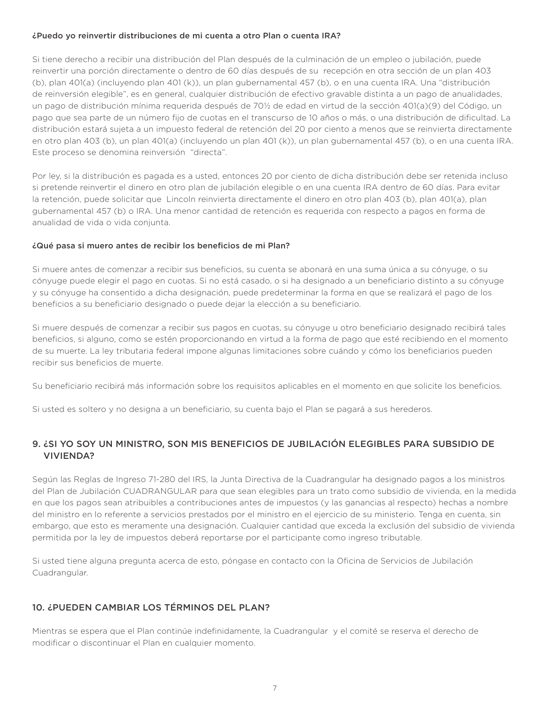#### ¿Puedo yo reinvertir distribuciones de mi cuenta a otro Plan o cuenta IRA?

Si tiene derecho a recibir una distribución del Plan después de la culminación de un empleo o jubilación, puede reinvertir una porción directamente o dentro de 60 días después de su recepción en otra sección de un plan 403 (b), plan 401(a) (incluyendo plan 401 (k)), un plan gubernamental 457 (b), o en una cuenta IRA. Una "distribución de reinversión elegible", es en general, cualquier distribución de efectivo gravable distinta a un pago de anualidades, un pago de distribución mínima requerida después de 70½ de edad en virtud de la sección 401(a)(9) del Código, un pago que sea parte de un número fijo de cuotas en el transcurso de 10 años o más, o una distribución de dificultad. La distribución estará sujeta a un impuesto federal de retención del 20 por ciento a menos que se reinvierta directamente en otro plan 403 (b), un plan 401(a) (incluyendo un plan 401 (k)), un plan gubernamental 457 (b), o en una cuenta IRA. Este proceso se denomina reinversión "directa".

Por ley, si la distribución es pagada es a usted, entonces 20 por ciento de dicha distribución debe ser retenida incluso si pretende reinvertir el dinero en otro plan de jubilación elegible o en una cuenta IRA dentro de 60 días. Para evitar la retención, puede solicitar que Lincoln reinvierta directamente el dinero en otro plan 403 (b), plan 401(a), plan gubernamental 457 (b) o IRA. Una menor cantidad de retención es requerida con respecto a pagos en forma de anualidad de vida o vida conjunta.

## ¿Qué pasa si muero antes de recibir los beneficios de mi Plan?

Si muere antes de comenzar a recibir sus beneficios, su cuenta se abonará en una suma única a su cónyuge, o su cónyuge puede elegir el pago en cuotas. Si no está casado, o si ha designado a un beneficiario distinto a su cónyuge y su cónyuge ha consentido a dicha designación, puede predeterminar la forma en que se realizará el pago de los beneficios a su beneficiario designado o puede dejar la elección a su beneficiario.

Si muere después de comenzar a recibir sus pagos en cuotas, su cónyuge u otro beneficiario designado recibirá tales beneficios, si alguno, como se estén proporcionando en virtud a la forma de pago que esté recibiendo en el momento de su muerte. La ley tributaria federal impone algunas limitaciones sobre cuándo y cómo los beneficiarios pueden recibir sus beneficios de muerte.

Su beneficiario recibirá más información sobre los requisitos aplicables en el momento en que solicite los beneficios.

Si usted es soltero y no designa a un beneficiario, su cuenta bajo el Plan se pagará a sus herederos.

## 9. ¿SI YO SOY UN MINISTRO, SON MIS BENEFICIOS DE JUBILACIÓN ELEGIBLES PARA SUBSIDIO DE VIVIENDA?

Según las Reglas de Ingreso 71-280 del IRS, la Junta Directiva de la Cuadrangular ha designado pagos a los ministros del Plan de Jubilación CUADRANGULAR para que sean elegibles para un trato como subsidio de vivienda, en la medida en que los pagos sean atribuibles a contribuciones antes de impuestos (y las ganancias al respecto) hechas a nombre del ministro en lo referente a servicios prestados por el ministro en el ejercicio de su ministerio. Tenga en cuenta, sin embargo, que esto es meramente una designación. Cualquier cantidad que exceda la exclusión del subsidio de vivienda permitida por la ley de impuestos deberá reportarse por el participante como ingreso tributable.

Si usted tiene alguna pregunta acerca de esto, póngase en contacto con la Oficina de Servicios de Jubilación Cuadrangular.

## 10. ¿PUEDEN CAMBIAR LOS TÉRMINOS DEL PLAN?

Mientras se espera que el Plan continúe indefinidamente, la Cuadrangular y el comité se reserva el derecho de modificar o discontinuar el Plan en cualquier momento.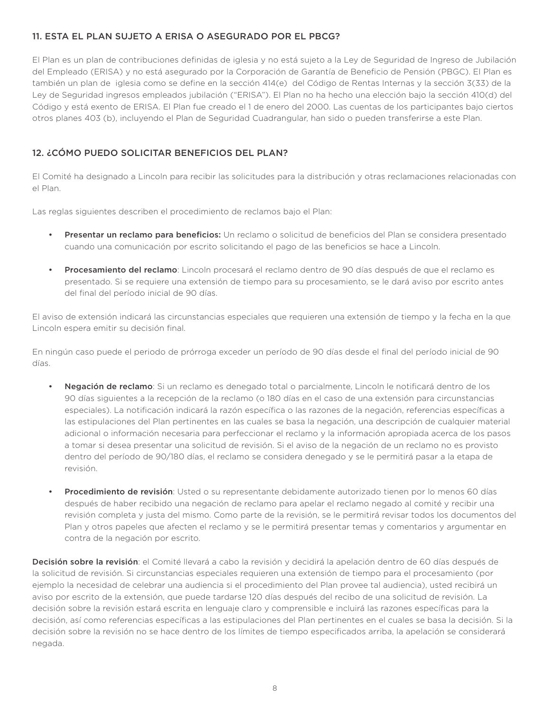## 11. ESTA EL PLAN SUJETO A ERISA O ASEGURADO POR EL PBCG?

El Plan es un plan de contribuciones definidas de iglesia y no está sujeto a la Ley de Seguridad de Ingreso de Jubilación del Empleado (ERISA) y no está asegurado por la Corporación de Garantía de Beneficio de Pensión (PBGC). El Plan es también un plan de iglesia como se define en la sección 414(e) del Código de Rentas Internas y la sección 3(33) de la Ley de Seguridad ingresos empleados jubilación ("ERISA"). El Plan no ha hecho una elección bajo la sección 410(d) del Código y está exento de ERISA. El Plan fue creado el 1 de enero del 2000. Las cuentas de los participantes bajo ciertos otros planes 403 (b), incluyendo el Plan de Seguridad Cuadrangular, han sido o pueden transferirse a este Plan.

## 12. ¿CÓMO PUEDO SOLICITAR BENEFICIOS DEL PLAN?

El Comité ha designado a Lincoln para recibir las solicitudes para la distribución y otras reclamaciones relacionadas con el Plan.

Las reglas siguientes describen el procedimiento de reclamos bajo el Plan:

- **Presentar un reclamo para beneficios:** Un reclamo o solicitud de beneficios del Plan se considera presentado cuando una comunicación por escrito solicitando el pago de las beneficios se hace a Lincoln.
- **Procesamiento del reclamo**: Lincoln procesará el reclamo dentro de 90 días después de que el reclamo es presentado. Si se requiere una extensión de tiempo para su procesamiento, se le dará aviso por escrito antes del final del período inicial de 90 días.

El aviso de extensión indicará las circunstancias especiales que requieren una extensión de tiempo y la fecha en la que Lincoln espera emitir su decisión final.

En ningún caso puede el periodo de prórroga exceder un período de 90 días desde el final del período inicial de 90 días.

- Negación de reclamo: Si un reclamo es denegado total o parcialmente, Lincoln le notificará dentro de los 90 días siguientes a la recepción de la reclamo (o 180 días en el caso de una extensión para circunstancias especiales). La notificación indicará la razón específica o las razones de la negación, referencias específicas a las estipulaciones del Plan pertinentes en las cuales se basa la negación, una descripción de cualquier material adicional o información necesaria para perfeccionar el reclamo y la información apropiada acerca de los pasos a tomar si desea presentar una solicitud de revisión. Si el aviso de la negación de un reclamo no es provisto dentro del período de 90/180 días, el reclamo se considera denegado y se le permitirá pasar a la etapa de revisión.
- **Procedimiento de revisión**: Usted o su representante debidamente autorizado tienen por lo menos 60 días después de haber recibido una negación de reclamo para apelar el reclamo negado al comité y recibir una revisión completa y justa del mismo. Como parte de la revisión, se le permitirá revisar todos los documentos del Plan y otros papeles que afecten el reclamo y se le permitirá presentar temas y comentarios y argumentar en contra de la negación por escrito.

Decisión sobre la revisión: el Comité llevará a cabo la revisión y decidirá la apelación dentro de 60 días después de la solicitud de revisión. Si circunstancias especiales requieren una extensión de tiempo para el procesamiento (por ejemplo la necesidad de celebrar una audiencia si el procedimiento del Plan provee tal audiencia), usted recibirá un aviso por escrito de la extensión, que puede tardarse 120 días después del recibo de una solicitud de revisión. La decisión sobre la revisión estará escrita en lenguaje claro y comprensible e incluirá las razones específicas para la decisión, así como referencias específicas a las estipulaciones del Plan pertinentes en el cuales se basa la decisión. Si la decisión sobre la revisión no se hace dentro de los límites de tiempo especificados arriba, la apelación se considerará negada.